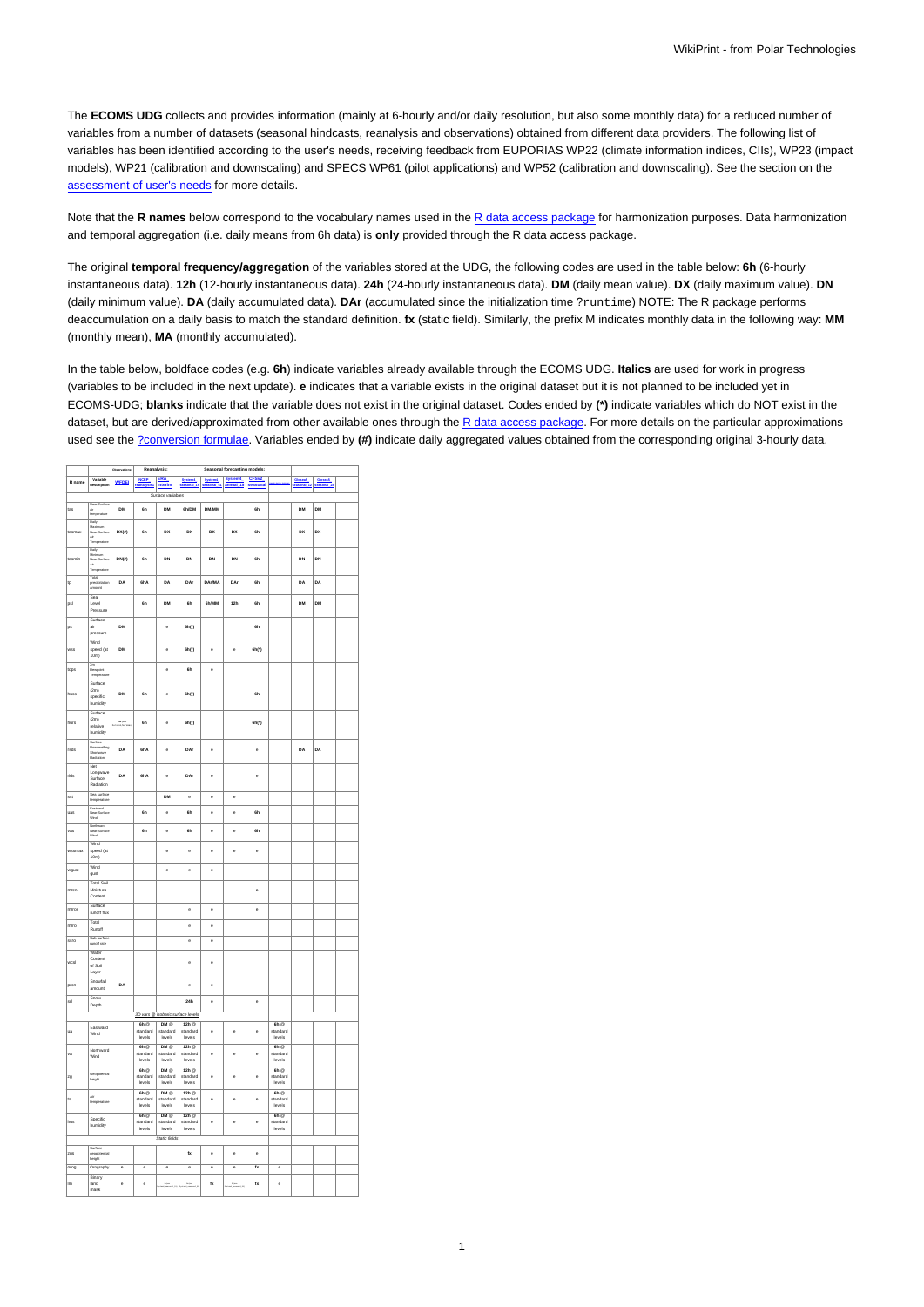The **ECOMS UDG** collects and provides information (mainly at 6-hourly and/or daily resolution, but also some monthly data) for a reduced number of variables from a number of datasets (seasonal hindcasts, reanalysis and observations) obtained from different data providers. The following list of variables has been identified according to the user's needs, receiving feedback from EUPORIAS WP22 (climate information indices, CIIs), WP23 (impact models), WP21 (calibration and downscaling) and SPECS WP61 (pilot applications) and WP52 (calibration and downscaling). See the section on the [assessment of user's needs](https://meteo.unican.es/trac/wiki/udg/ecoms/EndUserNeeds) for more details.

Note that the **R names** below correspond to the vocabulary names used in the [R data access package](https://meteo.unican.es/trac/wiki/udg/ecoms/RPackage) for harmonization purposes. Data harmonization and temporal aggregation (i.e. daily means from 6h data) is **only** provided through the R data access package.

The original **temporal frequency/aggregation** of the variables stored at the UDG, the following codes are used in the table below: **6h** (6-hourly instantaneous data). **12h** (12-hourly instantaneous data). **24h** (24-hourly instantaneous data). **DM** (daily mean value). **DX** (daily maximum value). **DN** (daily minimum value). **DA** (daily accumulated data). **DAr** (accumulated since the initialization time ?runtime) NOTE: The R package performs deaccumulation on a daily basis to match the standard definition. **fx** (static field). Similarly, the prefix M indicates monthly data in the following way: **MM** (monthly mean), **MA** (monthly accumulated).

In the table below, boldface codes (e.g. **6h**) indicate variables already available through the ECOMS UDG. **Italics** are used for work in progress (variables to be included in the next update). **e** indicates that a variable exists in the original dataset but it is not planned to be included yet in ECOMS-UDG; **blanks** indicate that the variable does not exist in the original dataset. Codes ended by **(\*)** indicate variables which do NOT exist in the dataset, but are derived/approximated from other available ones through the [R data access package](https://meteo.unican.es/trac/wiki/udg/ecoms/RPackage). For more details on the particular approximations used see the [?conversion formulae](https://github.com/SantanderMetGroup/loadeR/blob/master/R/conversion.R). Variables ended by **(#)** indicate daily aggregated values obtained from the corresponding original 3-hourly data.

| System4<br>annual 15 seasonal<br>NCEP ERA<br>Variable<br>description<br>System4<br>sessonal 51<br>System4<br>sessonal_15<br>Glosen5<br>Militaral 12<br>Glosen5<br>sessonal_24<br>R name<br><b>WFDEI</b><br>Surface variables<br>Near<br>air<br>temperature<br>tas<br>DM<br>6h<br>DM<br>6h/DM<br><b>DM/MM</b><br>6h<br>DM<br>DM<br>Daily<br>Maxim<br>un<br>$DX(*)$<br>6h<br>DX<br>DX<br>DX<br>DX<br>DX<br>DX<br>6h<br>tasmax<br>manusum<br>Near-Surface<br>Air<br>Temperature<br>Daily<br>Meimum<br>Near-Surface<br>DN(x)<br>DN<br>DN<br>DN<br>DN<br>DN<br>DN<br>6h<br>6h<br>Air<br>Temperature<br>Total<br>precipitation<br>DA<br>6hA<br>DA<br>DAr<br><b>DAr/MA</b><br>DAr<br>6h<br>DA<br>DA<br>amount<br>Sea<br><b>GN/MM</b><br><b>DM</b><br><b>DM</b><br>Loyo!<br>6h<br><b>DM</b><br><b>Gh</b><br>12h<br>бĥ<br>Pressure<br>Surface<br>DM<br>6h(')<br>6h<br>sir<br>$\ddot{\phantom{0}}$<br>pressure<br>Wind<br><b>DM</b><br>6h(')<br>$\ddot{\phantom{a}}$<br>6h(')<br>wss<br>speed (at<br>$\epsilon$<br>$\epsilon$<br>10m)<br>2m<br>Desepoint<br>Temperat<br>¢<br>6h<br>e<br>Surface<br>(2m)<br><b>DM</b><br>6h<br>ė<br>$6h$ (*)<br>бĥ<br>specific<br>humidity<br>Surface<br>(2m)<br><b>OM</b> SAN<br>6h<br>ė<br>6h(')<br>6h(')<br>relative<br>humidity<br>Surface<br>Downwelling<br>Shortwave<br>Radiation<br>DA<br>DA<br>DAr<br>DA<br>rsds<br>6hA<br>ė<br>ė<br>$\ddot{\phantom{a}}$<br>Net<br>Longwave<br>dds<br>DA<br>6hA<br>DAr<br>e<br>¢<br>c<br>Surface<br>Radiation<br>Sea surface<br>sst<br><b>DM</b><br>e<br>e<br>¢<br>temperature<br>Esstward<br>6h<br>6h<br>6h<br>uas<br>$\ddot{\phantom{0}}$<br>ė<br>ė<br>Northward<br>Near-Surface<br>Wrid<br>vas<br>6h<br>e<br>6h<br>e<br>6h<br>e<br>Wind<br>assmax<br>speed (at<br>¢<br>e<br>e<br>e<br>e<br>10 <sub>m</sub><br>Wind<br>e<br>e<br>e<br>wgust<br>oust<br><b>Total Soil</b><br>Moisture<br>mrso<br>e<br>Content<br>Surface<br>mrros<br>e<br>$\circ$<br>e<br>runoff flux<br>Total<br>mrro<br>e<br>c<br>Runoff<br>Sub-surface<br>runoff rate<br>ssro<br>e<br>e<br>Water<br>Content<br>wosl<br>e<br>e<br>of Soil<br>Layer<br>Snowfall<br>DA<br>$\ddot{\phantom{a}}$<br>ė<br>amount<br>Snow<br>sd<br>24h<br>e<br>e<br>Depth<br>3D vars @ isobaric surface levels<br>$6h$ $@$<br>DM @<br>$6h$ $@$<br>12h<br>Eastward<br>ua<br>standard<br>standard<br>standard<br>standard<br>e<br>e<br>e<br>Wind<br>levels<br>levels<br>levels<br>levels<br>$6h$ <sup><math>@</math></sup><br>DM @<br>12h $@$<br>$6h$ <sup><math>@</math></sup><br>Northward<br>va<br>ė<br>standard<br>standard<br>standard<br>standard<br>ė<br>e<br>Wind<br>levels<br>levels<br>levels<br>levels<br>6h<br>DM @<br>12h @<br>6h @<br>Geopotential<br>height<br>zg<br>standard<br>standard<br>standard<br>ė<br>$\ddot{\phantom{0}}$<br>e<br>standard<br>levels<br>levels<br>levels<br>levels<br>6h<br>DM @<br>12h<br>6h<br>Air<br>ta<br>standard<br>standard<br>standard<br>e<br>ė<br>c<br>standard<br>temperature<br>levels<br>levels<br>levels<br>levels<br>$DM \odot$<br>$6h$ <sup><math>@</math></sup><br>12h<br>$6h$ $@$<br>Specific<br>$\ddot{\phantom{0}}$<br>standard<br>standard<br>$\ddot{\phantom{0}}$<br>standard<br>standard<br>c<br>humidity<br>levels<br>levels<br>levels<br>levels<br>Static fields<br>Surface<br>geopotential<br>height<br>fx<br>e<br>zgs<br>e<br>e<br>Orography<br>$\overline{\phantom{a}}$<br>$\overline{\phantom{a}}$<br>$\overline{\phantom{a}}$<br>$\overline{\phantom{a}}$<br>ē<br>$\overline{\phantom{a}}$<br>$\overline{t}$<br>$\overline{\phantom{a}}$<br>Binary<br>lm.<br>land<br>c<br>e<br>$\mathbf{f}$<br>$f_{\mathbf{X}}$<br>ė<br>mask |        |  | Reanalysis: |  | Seasonal forecasting models: |  |  |  |  |  |  |
|-------------------------------------------------------------------------------------------------------------------------------------------------------------------------------------------------------------------------------------------------------------------------------------------------------------------------------------------------------------------------------------------------------------------------------------------------------------------------------------------------------------------------------------------------------------------------------------------------------------------------------------------------------------------------------------------------------------------------------------------------------------------------------------------------------------------------------------------------------------------------------------------------------------------------------------------------------------------------------------------------------------------------------------------------------------------------------------------------------------------------------------------------------------------------------------------------------------------------------------------------------------------------------------------------------------------------------------------------------------------------------------------------------------------------------------------------------------------------------------------------------------------------------------------------------------------------------------------------------------------------------------------------------------------------------------------------------------------------------------------------------------------------------------------------------------------------------------------------------------------------------------------------------------------------------------------------------------------------------------------------------------------------------------------------------------------------------------------------------------------------------------------------------------------------------------------------------------------------------------------------------------------------------------------------------------------------------------------------------------------------------------------------------------------------------------------------------------------------------------------------------------------------------------------------------------------------------------------------------------------------------------------------------------------------------------------------------------------------------------------------------------------------------------------------------------------------------------------------------------------------------------------------------------------------------------------------------------------------------------------------------------------------------------------------------------------------------------------------------------------------------------------------------------------------------------------------------------------------------------------------------------------------------------------------------------------------------------------------------------------------------------------------------------------------------------------------------------------------------------------------------------------------------------------------------------------------------------------------------------|--------|--|-------------|--|------------------------------|--|--|--|--|--|--|
|                                                                                                                                                                                                                                                                                                                                                                                                                                                                                                                                                                                                                                                                                                                                                                                                                                                                                                                                                                                                                                                                                                                                                                                                                                                                                                                                                                                                                                                                                                                                                                                                                                                                                                                                                                                                                                                                                                                                                                                                                                                                                                                                                                                                                                                                                                                                                                                                                                                                                                                                                                                                                                                                                                                                                                                                                                                                                                                                                                                                                                                                                                                                                                                                                                                                                                                                                                                                                                                                                                                                                                                                             |        |  |             |  |                              |  |  |  |  |  |  |
|                                                                                                                                                                                                                                                                                                                                                                                                                                                                                                                                                                                                                                                                                                                                                                                                                                                                                                                                                                                                                                                                                                                                                                                                                                                                                                                                                                                                                                                                                                                                                                                                                                                                                                                                                                                                                                                                                                                                                                                                                                                                                                                                                                                                                                                                                                                                                                                                                                                                                                                                                                                                                                                                                                                                                                                                                                                                                                                                                                                                                                                                                                                                                                                                                                                                                                                                                                                                                                                                                                                                                                                                             |        |  |             |  |                              |  |  |  |  |  |  |
|                                                                                                                                                                                                                                                                                                                                                                                                                                                                                                                                                                                                                                                                                                                                                                                                                                                                                                                                                                                                                                                                                                                                                                                                                                                                                                                                                                                                                                                                                                                                                                                                                                                                                                                                                                                                                                                                                                                                                                                                                                                                                                                                                                                                                                                                                                                                                                                                                                                                                                                                                                                                                                                                                                                                                                                                                                                                                                                                                                                                                                                                                                                                                                                                                                                                                                                                                                                                                                                                                                                                                                                                             |        |  |             |  |                              |  |  |  |  |  |  |
|                                                                                                                                                                                                                                                                                                                                                                                                                                                                                                                                                                                                                                                                                                                                                                                                                                                                                                                                                                                                                                                                                                                                                                                                                                                                                                                                                                                                                                                                                                                                                                                                                                                                                                                                                                                                                                                                                                                                                                                                                                                                                                                                                                                                                                                                                                                                                                                                                                                                                                                                                                                                                                                                                                                                                                                                                                                                                                                                                                                                                                                                                                                                                                                                                                                                                                                                                                                                                                                                                                                                                                                                             |        |  |             |  |                              |  |  |  |  |  |  |
|                                                                                                                                                                                                                                                                                                                                                                                                                                                                                                                                                                                                                                                                                                                                                                                                                                                                                                                                                                                                                                                                                                                                                                                                                                                                                                                                                                                                                                                                                                                                                                                                                                                                                                                                                                                                                                                                                                                                                                                                                                                                                                                                                                                                                                                                                                                                                                                                                                                                                                                                                                                                                                                                                                                                                                                                                                                                                                                                                                                                                                                                                                                                                                                                                                                                                                                                                                                                                                                                                                                                                                                                             |        |  |             |  |                              |  |  |  |  |  |  |
|                                                                                                                                                                                                                                                                                                                                                                                                                                                                                                                                                                                                                                                                                                                                                                                                                                                                                                                                                                                                                                                                                                                                                                                                                                                                                                                                                                                                                                                                                                                                                                                                                                                                                                                                                                                                                                                                                                                                                                                                                                                                                                                                                                                                                                                                                                                                                                                                                                                                                                                                                                                                                                                                                                                                                                                                                                                                                                                                                                                                                                                                                                                                                                                                                                                                                                                                                                                                                                                                                                                                                                                                             |        |  |             |  |                              |  |  |  |  |  |  |
|                                                                                                                                                                                                                                                                                                                                                                                                                                                                                                                                                                                                                                                                                                                                                                                                                                                                                                                                                                                                                                                                                                                                                                                                                                                                                                                                                                                                                                                                                                                                                                                                                                                                                                                                                                                                                                                                                                                                                                                                                                                                                                                                                                                                                                                                                                                                                                                                                                                                                                                                                                                                                                                                                                                                                                                                                                                                                                                                                                                                                                                                                                                                                                                                                                                                                                                                                                                                                                                                                                                                                                                                             |        |  |             |  |                              |  |  |  |  |  |  |
|                                                                                                                                                                                                                                                                                                                                                                                                                                                                                                                                                                                                                                                                                                                                                                                                                                                                                                                                                                                                                                                                                                                                                                                                                                                                                                                                                                                                                                                                                                                                                                                                                                                                                                                                                                                                                                                                                                                                                                                                                                                                                                                                                                                                                                                                                                                                                                                                                                                                                                                                                                                                                                                                                                                                                                                                                                                                                                                                                                                                                                                                                                                                                                                                                                                                                                                                                                                                                                                                                                                                                                                                             | tasmin |  |             |  |                              |  |  |  |  |  |  |
|                                                                                                                                                                                                                                                                                                                                                                                                                                                                                                                                                                                                                                                                                                                                                                                                                                                                                                                                                                                                                                                                                                                                                                                                                                                                                                                                                                                                                                                                                                                                                                                                                                                                                                                                                                                                                                                                                                                                                                                                                                                                                                                                                                                                                                                                                                                                                                                                                                                                                                                                                                                                                                                                                                                                                                                                                                                                                                                                                                                                                                                                                                                                                                                                                                                                                                                                                                                                                                                                                                                                                                                                             |        |  |             |  |                              |  |  |  |  |  |  |
|                                                                                                                                                                                                                                                                                                                                                                                                                                                                                                                                                                                                                                                                                                                                                                                                                                                                                                                                                                                                                                                                                                                                                                                                                                                                                                                                                                                                                                                                                                                                                                                                                                                                                                                                                                                                                                                                                                                                                                                                                                                                                                                                                                                                                                                                                                                                                                                                                                                                                                                                                                                                                                                                                                                                                                                                                                                                                                                                                                                                                                                                                                                                                                                                                                                                                                                                                                                                                                                                                                                                                                                                             | ţp     |  |             |  |                              |  |  |  |  |  |  |
|                                                                                                                                                                                                                                                                                                                                                                                                                                                                                                                                                                                                                                                                                                                                                                                                                                                                                                                                                                                                                                                                                                                                                                                                                                                                                                                                                                                                                                                                                                                                                                                                                                                                                                                                                                                                                                                                                                                                                                                                                                                                                                                                                                                                                                                                                                                                                                                                                                                                                                                                                                                                                                                                                                                                                                                                                                                                                                                                                                                                                                                                                                                                                                                                                                                                                                                                                                                                                                                                                                                                                                                                             |        |  |             |  |                              |  |  |  |  |  |  |
|                                                                                                                                                                                                                                                                                                                                                                                                                                                                                                                                                                                                                                                                                                                                                                                                                                                                                                                                                                                                                                                                                                                                                                                                                                                                                                                                                                                                                                                                                                                                                                                                                                                                                                                                                                                                                                                                                                                                                                                                                                                                                                                                                                                                                                                                                                                                                                                                                                                                                                                                                                                                                                                                                                                                                                                                                                                                                                                                                                                                                                                                                                                                                                                                                                                                                                                                                                                                                                                                                                                                                                                                             | psl    |  |             |  |                              |  |  |  |  |  |  |
|                                                                                                                                                                                                                                                                                                                                                                                                                                                                                                                                                                                                                                                                                                                                                                                                                                                                                                                                                                                                                                                                                                                                                                                                                                                                                                                                                                                                                                                                                                                                                                                                                                                                                                                                                                                                                                                                                                                                                                                                                                                                                                                                                                                                                                                                                                                                                                                                                                                                                                                                                                                                                                                                                                                                                                                                                                                                                                                                                                                                                                                                                                                                                                                                                                                                                                                                                                                                                                                                                                                                                                                                             |        |  |             |  |                              |  |  |  |  |  |  |
|                                                                                                                                                                                                                                                                                                                                                                                                                                                                                                                                                                                                                                                                                                                                                                                                                                                                                                                                                                                                                                                                                                                                                                                                                                                                                                                                                                                                                                                                                                                                                                                                                                                                                                                                                                                                                                                                                                                                                                                                                                                                                                                                                                                                                                                                                                                                                                                                                                                                                                                                                                                                                                                                                                                                                                                                                                                                                                                                                                                                                                                                                                                                                                                                                                                                                                                                                                                                                                                                                                                                                                                                             | ps     |  |             |  |                              |  |  |  |  |  |  |
|                                                                                                                                                                                                                                                                                                                                                                                                                                                                                                                                                                                                                                                                                                                                                                                                                                                                                                                                                                                                                                                                                                                                                                                                                                                                                                                                                                                                                                                                                                                                                                                                                                                                                                                                                                                                                                                                                                                                                                                                                                                                                                                                                                                                                                                                                                                                                                                                                                                                                                                                                                                                                                                                                                                                                                                                                                                                                                                                                                                                                                                                                                                                                                                                                                                                                                                                                                                                                                                                                                                                                                                                             |        |  |             |  |                              |  |  |  |  |  |  |
|                                                                                                                                                                                                                                                                                                                                                                                                                                                                                                                                                                                                                                                                                                                                                                                                                                                                                                                                                                                                                                                                                                                                                                                                                                                                                                                                                                                                                                                                                                                                                                                                                                                                                                                                                                                                                                                                                                                                                                                                                                                                                                                                                                                                                                                                                                                                                                                                                                                                                                                                                                                                                                                                                                                                                                                                                                                                                                                                                                                                                                                                                                                                                                                                                                                                                                                                                                                                                                                                                                                                                                                                             |        |  |             |  |                              |  |  |  |  |  |  |
|                                                                                                                                                                                                                                                                                                                                                                                                                                                                                                                                                                                                                                                                                                                                                                                                                                                                                                                                                                                                                                                                                                                                                                                                                                                                                                                                                                                                                                                                                                                                                                                                                                                                                                                                                                                                                                                                                                                                                                                                                                                                                                                                                                                                                                                                                                                                                                                                                                                                                                                                                                                                                                                                                                                                                                                                                                                                                                                                                                                                                                                                                                                                                                                                                                                                                                                                                                                                                                                                                                                                                                                                             |        |  |             |  |                              |  |  |  |  |  |  |
|                                                                                                                                                                                                                                                                                                                                                                                                                                                                                                                                                                                                                                                                                                                                                                                                                                                                                                                                                                                                                                                                                                                                                                                                                                                                                                                                                                                                                                                                                                                                                                                                                                                                                                                                                                                                                                                                                                                                                                                                                                                                                                                                                                                                                                                                                                                                                                                                                                                                                                                                                                                                                                                                                                                                                                                                                                                                                                                                                                                                                                                                                                                                                                                                                                                                                                                                                                                                                                                                                                                                                                                                             | tdps   |  |             |  |                              |  |  |  |  |  |  |
|                                                                                                                                                                                                                                                                                                                                                                                                                                                                                                                                                                                                                                                                                                                                                                                                                                                                                                                                                                                                                                                                                                                                                                                                                                                                                                                                                                                                                                                                                                                                                                                                                                                                                                                                                                                                                                                                                                                                                                                                                                                                                                                                                                                                                                                                                                                                                                                                                                                                                                                                                                                                                                                                                                                                                                                                                                                                                                                                                                                                                                                                                                                                                                                                                                                                                                                                                                                                                                                                                                                                                                                                             |        |  |             |  |                              |  |  |  |  |  |  |
|                                                                                                                                                                                                                                                                                                                                                                                                                                                                                                                                                                                                                                                                                                                                                                                                                                                                                                                                                                                                                                                                                                                                                                                                                                                                                                                                                                                                                                                                                                                                                                                                                                                                                                                                                                                                                                                                                                                                                                                                                                                                                                                                                                                                                                                                                                                                                                                                                                                                                                                                                                                                                                                                                                                                                                                                                                                                                                                                                                                                                                                                                                                                                                                                                                                                                                                                                                                                                                                                                                                                                                                                             | huss   |  |             |  |                              |  |  |  |  |  |  |
|                                                                                                                                                                                                                                                                                                                                                                                                                                                                                                                                                                                                                                                                                                                                                                                                                                                                                                                                                                                                                                                                                                                                                                                                                                                                                                                                                                                                                                                                                                                                                                                                                                                                                                                                                                                                                                                                                                                                                                                                                                                                                                                                                                                                                                                                                                                                                                                                                                                                                                                                                                                                                                                                                                                                                                                                                                                                                                                                                                                                                                                                                                                                                                                                                                                                                                                                                                                                                                                                                                                                                                                                             |        |  |             |  |                              |  |  |  |  |  |  |
|                                                                                                                                                                                                                                                                                                                                                                                                                                                                                                                                                                                                                                                                                                                                                                                                                                                                                                                                                                                                                                                                                                                                                                                                                                                                                                                                                                                                                                                                                                                                                                                                                                                                                                                                                                                                                                                                                                                                                                                                                                                                                                                                                                                                                                                                                                                                                                                                                                                                                                                                                                                                                                                                                                                                                                                                                                                                                                                                                                                                                                                                                                                                                                                                                                                                                                                                                                                                                                                                                                                                                                                                             |        |  |             |  |                              |  |  |  |  |  |  |
|                                                                                                                                                                                                                                                                                                                                                                                                                                                                                                                                                                                                                                                                                                                                                                                                                                                                                                                                                                                                                                                                                                                                                                                                                                                                                                                                                                                                                                                                                                                                                                                                                                                                                                                                                                                                                                                                                                                                                                                                                                                                                                                                                                                                                                                                                                                                                                                                                                                                                                                                                                                                                                                                                                                                                                                                                                                                                                                                                                                                                                                                                                                                                                                                                                                                                                                                                                                                                                                                                                                                                                                                             | hurs   |  |             |  |                              |  |  |  |  |  |  |
|                                                                                                                                                                                                                                                                                                                                                                                                                                                                                                                                                                                                                                                                                                                                                                                                                                                                                                                                                                                                                                                                                                                                                                                                                                                                                                                                                                                                                                                                                                                                                                                                                                                                                                                                                                                                                                                                                                                                                                                                                                                                                                                                                                                                                                                                                                                                                                                                                                                                                                                                                                                                                                                                                                                                                                                                                                                                                                                                                                                                                                                                                                                                                                                                                                                                                                                                                                                                                                                                                                                                                                                                             |        |  |             |  |                              |  |  |  |  |  |  |
|                                                                                                                                                                                                                                                                                                                                                                                                                                                                                                                                                                                                                                                                                                                                                                                                                                                                                                                                                                                                                                                                                                                                                                                                                                                                                                                                                                                                                                                                                                                                                                                                                                                                                                                                                                                                                                                                                                                                                                                                                                                                                                                                                                                                                                                                                                                                                                                                                                                                                                                                                                                                                                                                                                                                                                                                                                                                                                                                                                                                                                                                                                                                                                                                                                                                                                                                                                                                                                                                                                                                                                                                             |        |  |             |  |                              |  |  |  |  |  |  |
|                                                                                                                                                                                                                                                                                                                                                                                                                                                                                                                                                                                                                                                                                                                                                                                                                                                                                                                                                                                                                                                                                                                                                                                                                                                                                                                                                                                                                                                                                                                                                                                                                                                                                                                                                                                                                                                                                                                                                                                                                                                                                                                                                                                                                                                                                                                                                                                                                                                                                                                                                                                                                                                                                                                                                                                                                                                                                                                                                                                                                                                                                                                                                                                                                                                                                                                                                                                                                                                                                                                                                                                                             |        |  |             |  |                              |  |  |  |  |  |  |
|                                                                                                                                                                                                                                                                                                                                                                                                                                                                                                                                                                                                                                                                                                                                                                                                                                                                                                                                                                                                                                                                                                                                                                                                                                                                                                                                                                                                                                                                                                                                                                                                                                                                                                                                                                                                                                                                                                                                                                                                                                                                                                                                                                                                                                                                                                                                                                                                                                                                                                                                                                                                                                                                                                                                                                                                                                                                                                                                                                                                                                                                                                                                                                                                                                                                                                                                                                                                                                                                                                                                                                                                             |        |  |             |  |                              |  |  |  |  |  |  |
|                                                                                                                                                                                                                                                                                                                                                                                                                                                                                                                                                                                                                                                                                                                                                                                                                                                                                                                                                                                                                                                                                                                                                                                                                                                                                                                                                                                                                                                                                                                                                                                                                                                                                                                                                                                                                                                                                                                                                                                                                                                                                                                                                                                                                                                                                                                                                                                                                                                                                                                                                                                                                                                                                                                                                                                                                                                                                                                                                                                                                                                                                                                                                                                                                                                                                                                                                                                                                                                                                                                                                                                                             |        |  |             |  |                              |  |  |  |  |  |  |
|                                                                                                                                                                                                                                                                                                                                                                                                                                                                                                                                                                                                                                                                                                                                                                                                                                                                                                                                                                                                                                                                                                                                                                                                                                                                                                                                                                                                                                                                                                                                                                                                                                                                                                                                                                                                                                                                                                                                                                                                                                                                                                                                                                                                                                                                                                                                                                                                                                                                                                                                                                                                                                                                                                                                                                                                                                                                                                                                                                                                                                                                                                                                                                                                                                                                                                                                                                                                                                                                                                                                                                                                             |        |  |             |  |                              |  |  |  |  |  |  |
|                                                                                                                                                                                                                                                                                                                                                                                                                                                                                                                                                                                                                                                                                                                                                                                                                                                                                                                                                                                                                                                                                                                                                                                                                                                                                                                                                                                                                                                                                                                                                                                                                                                                                                                                                                                                                                                                                                                                                                                                                                                                                                                                                                                                                                                                                                                                                                                                                                                                                                                                                                                                                                                                                                                                                                                                                                                                                                                                                                                                                                                                                                                                                                                                                                                                                                                                                                                                                                                                                                                                                                                                             |        |  |             |  |                              |  |  |  |  |  |  |
|                                                                                                                                                                                                                                                                                                                                                                                                                                                                                                                                                                                                                                                                                                                                                                                                                                                                                                                                                                                                                                                                                                                                                                                                                                                                                                                                                                                                                                                                                                                                                                                                                                                                                                                                                                                                                                                                                                                                                                                                                                                                                                                                                                                                                                                                                                                                                                                                                                                                                                                                                                                                                                                                                                                                                                                                                                                                                                                                                                                                                                                                                                                                                                                                                                                                                                                                                                                                                                                                                                                                                                                                             |        |  |             |  |                              |  |  |  |  |  |  |
|                                                                                                                                                                                                                                                                                                                                                                                                                                                                                                                                                                                                                                                                                                                                                                                                                                                                                                                                                                                                                                                                                                                                                                                                                                                                                                                                                                                                                                                                                                                                                                                                                                                                                                                                                                                                                                                                                                                                                                                                                                                                                                                                                                                                                                                                                                                                                                                                                                                                                                                                                                                                                                                                                                                                                                                                                                                                                                                                                                                                                                                                                                                                                                                                                                                                                                                                                                                                                                                                                                                                                                                                             |        |  |             |  |                              |  |  |  |  |  |  |
|                                                                                                                                                                                                                                                                                                                                                                                                                                                                                                                                                                                                                                                                                                                                                                                                                                                                                                                                                                                                                                                                                                                                                                                                                                                                                                                                                                                                                                                                                                                                                                                                                                                                                                                                                                                                                                                                                                                                                                                                                                                                                                                                                                                                                                                                                                                                                                                                                                                                                                                                                                                                                                                                                                                                                                                                                                                                                                                                                                                                                                                                                                                                                                                                                                                                                                                                                                                                                                                                                                                                                                                                             |        |  |             |  |                              |  |  |  |  |  |  |
|                                                                                                                                                                                                                                                                                                                                                                                                                                                                                                                                                                                                                                                                                                                                                                                                                                                                                                                                                                                                                                                                                                                                                                                                                                                                                                                                                                                                                                                                                                                                                                                                                                                                                                                                                                                                                                                                                                                                                                                                                                                                                                                                                                                                                                                                                                                                                                                                                                                                                                                                                                                                                                                                                                                                                                                                                                                                                                                                                                                                                                                                                                                                                                                                                                                                                                                                                                                                                                                                                                                                                                                                             |        |  |             |  |                              |  |  |  |  |  |  |
|                                                                                                                                                                                                                                                                                                                                                                                                                                                                                                                                                                                                                                                                                                                                                                                                                                                                                                                                                                                                                                                                                                                                                                                                                                                                                                                                                                                                                                                                                                                                                                                                                                                                                                                                                                                                                                                                                                                                                                                                                                                                                                                                                                                                                                                                                                                                                                                                                                                                                                                                                                                                                                                                                                                                                                                                                                                                                                                                                                                                                                                                                                                                                                                                                                                                                                                                                                                                                                                                                                                                                                                                             |        |  |             |  |                              |  |  |  |  |  |  |
|                                                                                                                                                                                                                                                                                                                                                                                                                                                                                                                                                                                                                                                                                                                                                                                                                                                                                                                                                                                                                                                                                                                                                                                                                                                                                                                                                                                                                                                                                                                                                                                                                                                                                                                                                                                                                                                                                                                                                                                                                                                                                                                                                                                                                                                                                                                                                                                                                                                                                                                                                                                                                                                                                                                                                                                                                                                                                                                                                                                                                                                                                                                                                                                                                                                                                                                                                                                                                                                                                                                                                                                                             |        |  |             |  |                              |  |  |  |  |  |  |
|                                                                                                                                                                                                                                                                                                                                                                                                                                                                                                                                                                                                                                                                                                                                                                                                                                                                                                                                                                                                                                                                                                                                                                                                                                                                                                                                                                                                                                                                                                                                                                                                                                                                                                                                                                                                                                                                                                                                                                                                                                                                                                                                                                                                                                                                                                                                                                                                                                                                                                                                                                                                                                                                                                                                                                                                                                                                                                                                                                                                                                                                                                                                                                                                                                                                                                                                                                                                                                                                                                                                                                                                             |        |  |             |  |                              |  |  |  |  |  |  |
|                                                                                                                                                                                                                                                                                                                                                                                                                                                                                                                                                                                                                                                                                                                                                                                                                                                                                                                                                                                                                                                                                                                                                                                                                                                                                                                                                                                                                                                                                                                                                                                                                                                                                                                                                                                                                                                                                                                                                                                                                                                                                                                                                                                                                                                                                                                                                                                                                                                                                                                                                                                                                                                                                                                                                                                                                                                                                                                                                                                                                                                                                                                                                                                                                                                                                                                                                                                                                                                                                                                                                                                                             |        |  |             |  |                              |  |  |  |  |  |  |
|                                                                                                                                                                                                                                                                                                                                                                                                                                                                                                                                                                                                                                                                                                                                                                                                                                                                                                                                                                                                                                                                                                                                                                                                                                                                                                                                                                                                                                                                                                                                                                                                                                                                                                                                                                                                                                                                                                                                                                                                                                                                                                                                                                                                                                                                                                                                                                                                                                                                                                                                                                                                                                                                                                                                                                                                                                                                                                                                                                                                                                                                                                                                                                                                                                                                                                                                                                                                                                                                                                                                                                                                             |        |  |             |  |                              |  |  |  |  |  |  |
|                                                                                                                                                                                                                                                                                                                                                                                                                                                                                                                                                                                                                                                                                                                                                                                                                                                                                                                                                                                                                                                                                                                                                                                                                                                                                                                                                                                                                                                                                                                                                                                                                                                                                                                                                                                                                                                                                                                                                                                                                                                                                                                                                                                                                                                                                                                                                                                                                                                                                                                                                                                                                                                                                                                                                                                                                                                                                                                                                                                                                                                                                                                                                                                                                                                                                                                                                                                                                                                                                                                                                                                                             |        |  |             |  |                              |  |  |  |  |  |  |
|                                                                                                                                                                                                                                                                                                                                                                                                                                                                                                                                                                                                                                                                                                                                                                                                                                                                                                                                                                                                                                                                                                                                                                                                                                                                                                                                                                                                                                                                                                                                                                                                                                                                                                                                                                                                                                                                                                                                                                                                                                                                                                                                                                                                                                                                                                                                                                                                                                                                                                                                                                                                                                                                                                                                                                                                                                                                                                                                                                                                                                                                                                                                                                                                                                                                                                                                                                                                                                                                                                                                                                                                             |        |  |             |  |                              |  |  |  |  |  |  |
|                                                                                                                                                                                                                                                                                                                                                                                                                                                                                                                                                                                                                                                                                                                                                                                                                                                                                                                                                                                                                                                                                                                                                                                                                                                                                                                                                                                                                                                                                                                                                                                                                                                                                                                                                                                                                                                                                                                                                                                                                                                                                                                                                                                                                                                                                                                                                                                                                                                                                                                                                                                                                                                                                                                                                                                                                                                                                                                                                                                                                                                                                                                                                                                                                                                                                                                                                                                                                                                                                                                                                                                                             |        |  |             |  |                              |  |  |  |  |  |  |
|                                                                                                                                                                                                                                                                                                                                                                                                                                                                                                                                                                                                                                                                                                                                                                                                                                                                                                                                                                                                                                                                                                                                                                                                                                                                                                                                                                                                                                                                                                                                                                                                                                                                                                                                                                                                                                                                                                                                                                                                                                                                                                                                                                                                                                                                                                                                                                                                                                                                                                                                                                                                                                                                                                                                                                                                                                                                                                                                                                                                                                                                                                                                                                                                                                                                                                                                                                                                                                                                                                                                                                                                             |        |  |             |  |                              |  |  |  |  |  |  |
|                                                                                                                                                                                                                                                                                                                                                                                                                                                                                                                                                                                                                                                                                                                                                                                                                                                                                                                                                                                                                                                                                                                                                                                                                                                                                                                                                                                                                                                                                                                                                                                                                                                                                                                                                                                                                                                                                                                                                                                                                                                                                                                                                                                                                                                                                                                                                                                                                                                                                                                                                                                                                                                                                                                                                                                                                                                                                                                                                                                                                                                                                                                                                                                                                                                                                                                                                                                                                                                                                                                                                                                                             |        |  |             |  |                              |  |  |  |  |  |  |
|                                                                                                                                                                                                                                                                                                                                                                                                                                                                                                                                                                                                                                                                                                                                                                                                                                                                                                                                                                                                                                                                                                                                                                                                                                                                                                                                                                                                                                                                                                                                                                                                                                                                                                                                                                                                                                                                                                                                                                                                                                                                                                                                                                                                                                                                                                                                                                                                                                                                                                                                                                                                                                                                                                                                                                                                                                                                                                                                                                                                                                                                                                                                                                                                                                                                                                                                                                                                                                                                                                                                                                                                             |        |  |             |  |                              |  |  |  |  |  |  |
|                                                                                                                                                                                                                                                                                                                                                                                                                                                                                                                                                                                                                                                                                                                                                                                                                                                                                                                                                                                                                                                                                                                                                                                                                                                                                                                                                                                                                                                                                                                                                                                                                                                                                                                                                                                                                                                                                                                                                                                                                                                                                                                                                                                                                                                                                                                                                                                                                                                                                                                                                                                                                                                                                                                                                                                                                                                                                                                                                                                                                                                                                                                                                                                                                                                                                                                                                                                                                                                                                                                                                                                                             |        |  |             |  |                              |  |  |  |  |  |  |
|                                                                                                                                                                                                                                                                                                                                                                                                                                                                                                                                                                                                                                                                                                                                                                                                                                                                                                                                                                                                                                                                                                                                                                                                                                                                                                                                                                                                                                                                                                                                                                                                                                                                                                                                                                                                                                                                                                                                                                                                                                                                                                                                                                                                                                                                                                                                                                                                                                                                                                                                                                                                                                                                                                                                                                                                                                                                                                                                                                                                                                                                                                                                                                                                                                                                                                                                                                                                                                                                                                                                                                                                             | prsn   |  |             |  |                              |  |  |  |  |  |  |
|                                                                                                                                                                                                                                                                                                                                                                                                                                                                                                                                                                                                                                                                                                                                                                                                                                                                                                                                                                                                                                                                                                                                                                                                                                                                                                                                                                                                                                                                                                                                                                                                                                                                                                                                                                                                                                                                                                                                                                                                                                                                                                                                                                                                                                                                                                                                                                                                                                                                                                                                                                                                                                                                                                                                                                                                                                                                                                                                                                                                                                                                                                                                                                                                                                                                                                                                                                                                                                                                                                                                                                                                             |        |  |             |  |                              |  |  |  |  |  |  |
|                                                                                                                                                                                                                                                                                                                                                                                                                                                                                                                                                                                                                                                                                                                                                                                                                                                                                                                                                                                                                                                                                                                                                                                                                                                                                                                                                                                                                                                                                                                                                                                                                                                                                                                                                                                                                                                                                                                                                                                                                                                                                                                                                                                                                                                                                                                                                                                                                                                                                                                                                                                                                                                                                                                                                                                                                                                                                                                                                                                                                                                                                                                                                                                                                                                                                                                                                                                                                                                                                                                                                                                                             |        |  |             |  |                              |  |  |  |  |  |  |
|                                                                                                                                                                                                                                                                                                                                                                                                                                                                                                                                                                                                                                                                                                                                                                                                                                                                                                                                                                                                                                                                                                                                                                                                                                                                                                                                                                                                                                                                                                                                                                                                                                                                                                                                                                                                                                                                                                                                                                                                                                                                                                                                                                                                                                                                                                                                                                                                                                                                                                                                                                                                                                                                                                                                                                                                                                                                                                                                                                                                                                                                                                                                                                                                                                                                                                                                                                                                                                                                                                                                                                                                             |        |  |             |  |                              |  |  |  |  |  |  |
|                                                                                                                                                                                                                                                                                                                                                                                                                                                                                                                                                                                                                                                                                                                                                                                                                                                                                                                                                                                                                                                                                                                                                                                                                                                                                                                                                                                                                                                                                                                                                                                                                                                                                                                                                                                                                                                                                                                                                                                                                                                                                                                                                                                                                                                                                                                                                                                                                                                                                                                                                                                                                                                                                                                                                                                                                                                                                                                                                                                                                                                                                                                                                                                                                                                                                                                                                                                                                                                                                                                                                                                                             |        |  |             |  |                              |  |  |  |  |  |  |
|                                                                                                                                                                                                                                                                                                                                                                                                                                                                                                                                                                                                                                                                                                                                                                                                                                                                                                                                                                                                                                                                                                                                                                                                                                                                                                                                                                                                                                                                                                                                                                                                                                                                                                                                                                                                                                                                                                                                                                                                                                                                                                                                                                                                                                                                                                                                                                                                                                                                                                                                                                                                                                                                                                                                                                                                                                                                                                                                                                                                                                                                                                                                                                                                                                                                                                                                                                                                                                                                                                                                                                                                             |        |  |             |  |                              |  |  |  |  |  |  |
|                                                                                                                                                                                                                                                                                                                                                                                                                                                                                                                                                                                                                                                                                                                                                                                                                                                                                                                                                                                                                                                                                                                                                                                                                                                                                                                                                                                                                                                                                                                                                                                                                                                                                                                                                                                                                                                                                                                                                                                                                                                                                                                                                                                                                                                                                                                                                                                                                                                                                                                                                                                                                                                                                                                                                                                                                                                                                                                                                                                                                                                                                                                                                                                                                                                                                                                                                                                                                                                                                                                                                                                                             |        |  |             |  |                              |  |  |  |  |  |  |
|                                                                                                                                                                                                                                                                                                                                                                                                                                                                                                                                                                                                                                                                                                                                                                                                                                                                                                                                                                                                                                                                                                                                                                                                                                                                                                                                                                                                                                                                                                                                                                                                                                                                                                                                                                                                                                                                                                                                                                                                                                                                                                                                                                                                                                                                                                                                                                                                                                                                                                                                                                                                                                                                                                                                                                                                                                                                                                                                                                                                                                                                                                                                                                                                                                                                                                                                                                                                                                                                                                                                                                                                             |        |  |             |  |                              |  |  |  |  |  |  |
|                                                                                                                                                                                                                                                                                                                                                                                                                                                                                                                                                                                                                                                                                                                                                                                                                                                                                                                                                                                                                                                                                                                                                                                                                                                                                                                                                                                                                                                                                                                                                                                                                                                                                                                                                                                                                                                                                                                                                                                                                                                                                                                                                                                                                                                                                                                                                                                                                                                                                                                                                                                                                                                                                                                                                                                                                                                                                                                                                                                                                                                                                                                                                                                                                                                                                                                                                                                                                                                                                                                                                                                                             |        |  |             |  |                              |  |  |  |  |  |  |
|                                                                                                                                                                                                                                                                                                                                                                                                                                                                                                                                                                                                                                                                                                                                                                                                                                                                                                                                                                                                                                                                                                                                                                                                                                                                                                                                                                                                                                                                                                                                                                                                                                                                                                                                                                                                                                                                                                                                                                                                                                                                                                                                                                                                                                                                                                                                                                                                                                                                                                                                                                                                                                                                                                                                                                                                                                                                                                                                                                                                                                                                                                                                                                                                                                                                                                                                                                                                                                                                                                                                                                                                             |        |  |             |  |                              |  |  |  |  |  |  |
|                                                                                                                                                                                                                                                                                                                                                                                                                                                                                                                                                                                                                                                                                                                                                                                                                                                                                                                                                                                                                                                                                                                                                                                                                                                                                                                                                                                                                                                                                                                                                                                                                                                                                                                                                                                                                                                                                                                                                                                                                                                                                                                                                                                                                                                                                                                                                                                                                                                                                                                                                                                                                                                                                                                                                                                                                                                                                                                                                                                                                                                                                                                                                                                                                                                                                                                                                                                                                                                                                                                                                                                                             |        |  |             |  |                              |  |  |  |  |  |  |
|                                                                                                                                                                                                                                                                                                                                                                                                                                                                                                                                                                                                                                                                                                                                                                                                                                                                                                                                                                                                                                                                                                                                                                                                                                                                                                                                                                                                                                                                                                                                                                                                                                                                                                                                                                                                                                                                                                                                                                                                                                                                                                                                                                                                                                                                                                                                                                                                                                                                                                                                                                                                                                                                                                                                                                                                                                                                                                                                                                                                                                                                                                                                                                                                                                                                                                                                                                                                                                                                                                                                                                                                             |        |  |             |  |                              |  |  |  |  |  |  |
|                                                                                                                                                                                                                                                                                                                                                                                                                                                                                                                                                                                                                                                                                                                                                                                                                                                                                                                                                                                                                                                                                                                                                                                                                                                                                                                                                                                                                                                                                                                                                                                                                                                                                                                                                                                                                                                                                                                                                                                                                                                                                                                                                                                                                                                                                                                                                                                                                                                                                                                                                                                                                                                                                                                                                                                                                                                                                                                                                                                                                                                                                                                                                                                                                                                                                                                                                                                                                                                                                                                                                                                                             |        |  |             |  |                              |  |  |  |  |  |  |
|                                                                                                                                                                                                                                                                                                                                                                                                                                                                                                                                                                                                                                                                                                                                                                                                                                                                                                                                                                                                                                                                                                                                                                                                                                                                                                                                                                                                                                                                                                                                                                                                                                                                                                                                                                                                                                                                                                                                                                                                                                                                                                                                                                                                                                                                                                                                                                                                                                                                                                                                                                                                                                                                                                                                                                                                                                                                                                                                                                                                                                                                                                                                                                                                                                                                                                                                                                                                                                                                                                                                                                                                             | hus    |  |             |  |                              |  |  |  |  |  |  |
|                                                                                                                                                                                                                                                                                                                                                                                                                                                                                                                                                                                                                                                                                                                                                                                                                                                                                                                                                                                                                                                                                                                                                                                                                                                                                                                                                                                                                                                                                                                                                                                                                                                                                                                                                                                                                                                                                                                                                                                                                                                                                                                                                                                                                                                                                                                                                                                                                                                                                                                                                                                                                                                                                                                                                                                                                                                                                                                                                                                                                                                                                                                                                                                                                                                                                                                                                                                                                                                                                                                                                                                                             |        |  |             |  |                              |  |  |  |  |  |  |
|                                                                                                                                                                                                                                                                                                                                                                                                                                                                                                                                                                                                                                                                                                                                                                                                                                                                                                                                                                                                                                                                                                                                                                                                                                                                                                                                                                                                                                                                                                                                                                                                                                                                                                                                                                                                                                                                                                                                                                                                                                                                                                                                                                                                                                                                                                                                                                                                                                                                                                                                                                                                                                                                                                                                                                                                                                                                                                                                                                                                                                                                                                                                                                                                                                                                                                                                                                                                                                                                                                                                                                                                             |        |  |             |  |                              |  |  |  |  |  |  |
|                                                                                                                                                                                                                                                                                                                                                                                                                                                                                                                                                                                                                                                                                                                                                                                                                                                                                                                                                                                                                                                                                                                                                                                                                                                                                                                                                                                                                                                                                                                                                                                                                                                                                                                                                                                                                                                                                                                                                                                                                                                                                                                                                                                                                                                                                                                                                                                                                                                                                                                                                                                                                                                                                                                                                                                                                                                                                                                                                                                                                                                                                                                                                                                                                                                                                                                                                                                                                                                                                                                                                                                                             |        |  |             |  |                              |  |  |  |  |  |  |
|                                                                                                                                                                                                                                                                                                                                                                                                                                                                                                                                                                                                                                                                                                                                                                                                                                                                                                                                                                                                                                                                                                                                                                                                                                                                                                                                                                                                                                                                                                                                                                                                                                                                                                                                                                                                                                                                                                                                                                                                                                                                                                                                                                                                                                                                                                                                                                                                                                                                                                                                                                                                                                                                                                                                                                                                                                                                                                                                                                                                                                                                                                                                                                                                                                                                                                                                                                                                                                                                                                                                                                                                             | orog   |  |             |  |                              |  |  |  |  |  |  |
|                                                                                                                                                                                                                                                                                                                                                                                                                                                                                                                                                                                                                                                                                                                                                                                                                                                                                                                                                                                                                                                                                                                                                                                                                                                                                                                                                                                                                                                                                                                                                                                                                                                                                                                                                                                                                                                                                                                                                                                                                                                                                                                                                                                                                                                                                                                                                                                                                                                                                                                                                                                                                                                                                                                                                                                                                                                                                                                                                                                                                                                                                                                                                                                                                                                                                                                                                                                                                                                                                                                                                                                                             |        |  |             |  |                              |  |  |  |  |  |  |
|                                                                                                                                                                                                                                                                                                                                                                                                                                                                                                                                                                                                                                                                                                                                                                                                                                                                                                                                                                                                                                                                                                                                                                                                                                                                                                                                                                                                                                                                                                                                                                                                                                                                                                                                                                                                                                                                                                                                                                                                                                                                                                                                                                                                                                                                                                                                                                                                                                                                                                                                                                                                                                                                                                                                                                                                                                                                                                                                                                                                                                                                                                                                                                                                                                                                                                                                                                                                                                                                                                                                                                                                             |        |  |             |  |                              |  |  |  |  |  |  |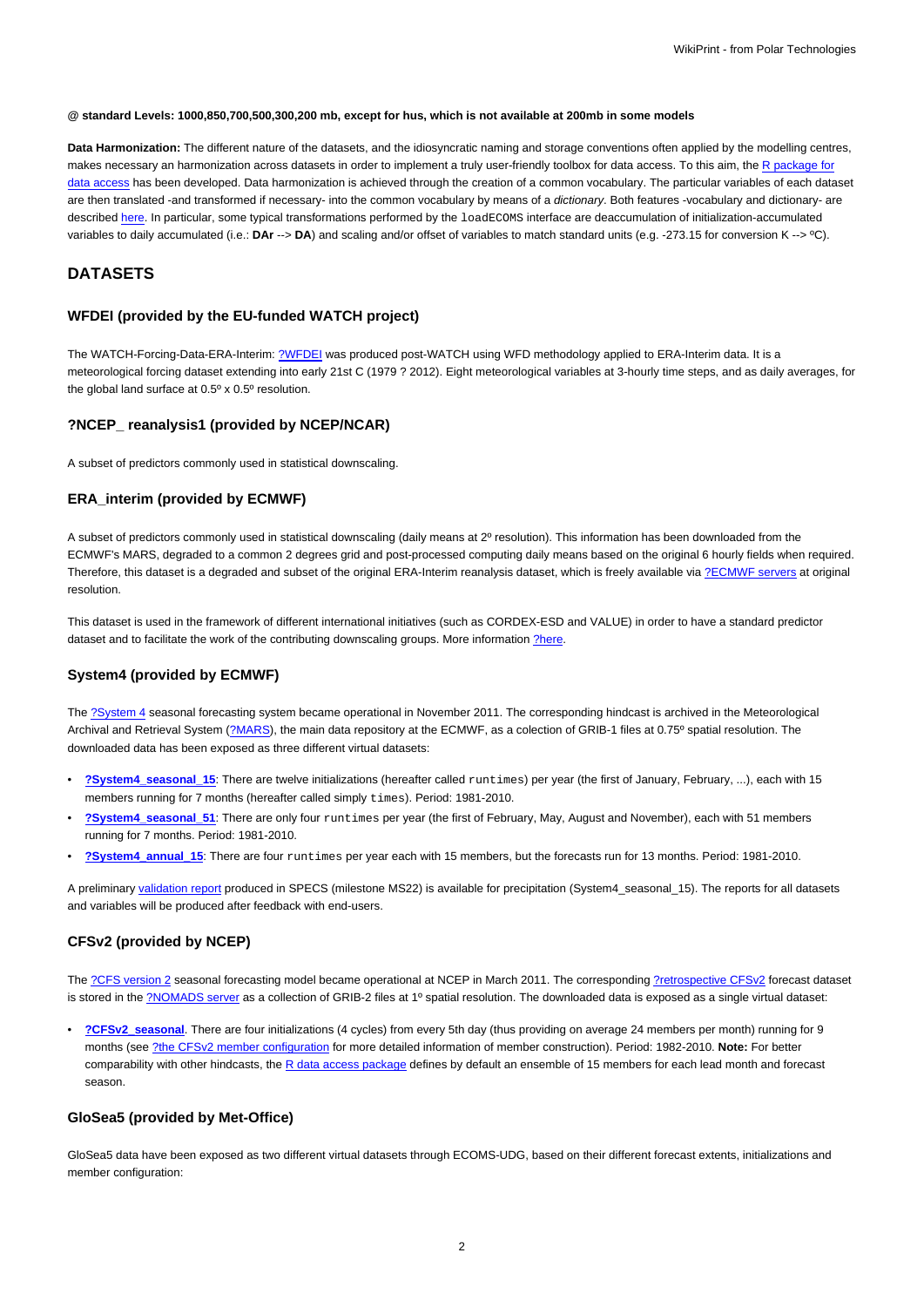#### **@ standard Levels: 1000,850,700,500,300,200 mb, except for hus, which is not available at 200mb in some models**

**Data Harmonization:** The different nature of the datasets, and the idiosyncratic naming and storage conventions often applied by the modelling centres, makes necessary an harmonization across datasets in order to implement a truly user-friendly toolbox for data access. To this aim, the [R package for](https://meteo.unican.es/trac/wiki/udg/ecoms/RPackage) [data access](https://meteo.unican.es/trac/wiki/udg/ecoms/RPackage) has been developed. Data harmonization is achieved through the creation of a common vocabulary. The particular variables of each dataset are then translated -and transformed if necessary- into the common vocabulary by means of a dictionary. Both features -vocabulary and dictionary- are described [here](https://meteo.unican.es/trac/wiki/udg/ecoms/RPackage/homogeneization). In particular, some typical transformations performed by the loadECOMS interface are deaccumulation of initialization-accumulated variables to daily accumulated (i.e.: **DAr** --> **DA**) and scaling and/or offset of variables to match standard units (e.g. -273.15 for conversion K --> ºC).

# **DATASETS**

### **WFDEI (provided by the EU-funded WATCH project)**

The WATCH-Forcing-Data-ERA-Interim: [?WFDEI](http://www.eu-watch.org/data_availability) was produced post-WATCH using WFD methodology applied to ERA-Interim data. It is a meteorological forcing dataset extending into early 21st C (1979 ? 2012). Eight meteorological variables at 3-hourly time steps, and as daily averages, for the global land surface at 0.5º x 0.5º resolution.

## **?NCEP\_ reanalysis1 (provided by NCEP/NCAR)**

A subset of predictors commonly used in statistical downscaling.

### **ERA\_interim (provided by ECMWF)**

A subset of predictors commonly used in statistical downscaling (daily means at 2º resolution). This information has been downloaded from the ECMWF's MARS, degraded to a common 2 degrees grid and post-processed computing daily means based on the original 6 hourly fields when required. Therefore, this dataset is a degraded and subset of the original ERA-Interim reanalysis dataset, which is freely available via [?ECMWF servers](http://www.ecmwf.int/en/research/climate-reanalysis/era-interim) at original resolution.

This dataset is used in the framework of different international initiatives (such as CORDEX-ESD and VALUE) in order to have a standard predictor dataset and to facilitate the work of the contributing downscaling groups. More information [?here.](http://meteo.unican.es/trac/wiki/udg/esd)

### **System4 (provided by ECMWF)**

The [?System 4](http://old.ecmwf.int/products/changes/system4/technical_description.html) seasonal forecasting system became operational in November 2011. The corresponding hindcast is archived in the Meteorological Archival and Retrieval System [\(?MARS\)](http://old.ecmwf.int/services/archive/), the main data repository at the ECMWF, as a colection of GRIB-1 files at 0.75° spatial resolution. The downloaded data has been exposed as three different virtual datasets:

- **[?System4\\_seasonal\\_15](http://www.meteo.unican.es/tds5/catalogs/system4/System4Datasets.html?dataset=system4/System4_Seasonal_15Members.ncml)**: There are twelve initializations (hereafter called runtimes) per year (the first of January, February, ...), each with 15 members running for 7 months (hereafter called simply times). Period: 1981-2010.
- **[?System4\\_seasonal\\_51](http://www.meteo.unican.es/tds5/catalogs/system4/System4Datasets.html?dataset=system4/System4_Seasonal_51Members.ncml)**: There are only four runtimes per year (the first of February, May, August and November), each with 51 members running for 7 months. Period: 1981-2010.
- **[?System4\\_annual\\_15](http://www.meteo.unican.es/tds5/catalogs/system4/System4Datasets.html?dataset=system4/System4_Annual_15Members.ncml)**: There are four runtimes per year each with 15 members, but the forecasts run for 13 months. Period: 1981-2010.

A preliminary [validation report](https://meteo.unican.es/trac/attachment/wiki/udg/ecoms/dataserver/datasets/validation_report_System4_15members_precip.pdf) produced in SPECS (milestone MS22) is available for precipitation (System4\_seasonal\_15). The reports for all datasets and variables will be produced after feedback with end-users.

## **CFSv2 (provided by NCEP)**

The [?CFS version 2](http://cfs.ncep.noaa.gov) seasonal forecasting model became operational at NCEP in March 2011. The corresponding [?retrospective CFSv2](http://cfs.ncep.noaa.gov/cfsv2.info/CFSv2.Reforecast.Data.doc) forecast dataset is stored in the [?NOMADS server](http://nomads.ncdc.noaa.gov/data.php?name=access#cfs-refor) as a collection of GRIB-2 files at 1º spatial resolution. The downloaded data is exposed as a single virtual dataset:

• **[?CFSv2\\_seasonal](http://www.meteo.unican.es/tds5/catalogs/cfs/cfsDatasets.html?dataset=cfsrr/CFSv2_Seasonal.ncml)**. There are four initializations (4 cycles) from every 5th day (thus providing on average 24 members per month) running for 9 months (see [?the CFSv2 member configuration](http://meteo.unican.es/trac/wiki/udg/ecoms/dataserver/datasets/CFSv2) for more detailed information of member construction). Period: 1982-2010. **Note:** For better comparability with other hindcasts, the [R data access package](https://meteo.unican.es/trac/wiki/udg/ecoms/RPackage) defines by default an ensemble of 15 members for each lead month and forecast season.

### **GloSea5 (provided by Met-Office)**

GloSea5 data have been exposed as two different virtual datasets through ECOMS-UDG, based on their different forecast extents, initializations and member configuration: